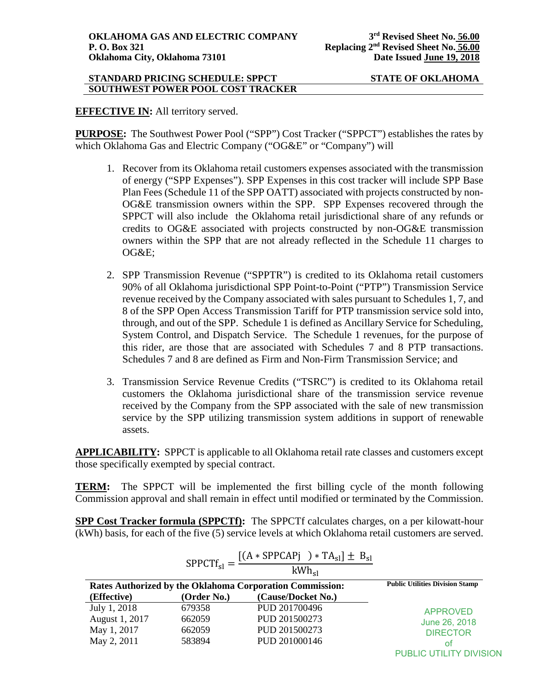#### **STANDARD PRICING SCHEDULE: SPPCT STATE OF OKLAHOMA SOUTHWEST POWER POOL COST TRACKER**

**EFFECTIVE IN:** All territory served.

**PURPOSE:** The Southwest Power Pool ("SPP") Cost Tracker ("SPPCT") establishes the rates by which Oklahoma Gas and Electric Company ("OG&E" or "Company") will

- 1. Recover from its Oklahoma retail customers expenses associated with the transmission of energy ("SPP Expenses"). SPP Expenses in this cost tracker will include SPP Base Plan Fees (Schedule 11 of the SPP OATT) associated with projects constructed by non-OG&E transmission owners within the SPP. SPP Expenses recovered through the SPPCT will also include the Oklahoma retail jurisdictional share of any refunds or credits to OG&E associated with projects constructed by non-OG&E transmission owners within the SPP that are not already reflected in the Schedule 11 charges to OG&E;
- 2. SPP Transmission Revenue ("SPPTR") is credited to its Oklahoma retail customers 90% of all Oklahoma jurisdictional SPP Point-to-Point ("PTP") Transmission Service revenue received by the Company associated with sales pursuant to Schedules 1, 7, and 8 of the SPP Open Access Transmission Tariff for PTP transmission service sold into, through, and out of the SPP. Schedule 1 is defined as Ancillary Service for Scheduling, System Control, and Dispatch Service. The Schedule 1 revenues, for the purpose of this rider, are those that are associated with Schedules 7 and 8 PTP transactions. Schedules 7 and 8 are defined as Firm and Non-Firm Transmission Service; and
- 3. Transmission Service Revenue Credits ("TSRC") is credited to its Oklahoma retail customers the Oklahoma jurisdictional share of the transmission service revenue received by the Company from the SPP associated with the sale of new transmission service by the SPP utilizing transmission system additions in support of renewable assets.

**APPLICABILITY:** SPPCT is applicable to all Oklahoma retail rate classes and customers except those specifically exempted by special contract.

**TERM:** The SPPCT will be implemented the first billing cycle of the month following Commission approval and shall remain in effect until modified or terminated by the Commission.

**SPP Cost Tracker formula (SPPCTf):** The SPPCTf calculates charges, on a per kilowatt-hour (kWh) basis, for each of the five (5) service levels at which Oklahoma retail customers are served.

|                | $SPPCTf_{sl} = \frac{15}{15}$                            | $[(A * SPPCAPj) * TA_{sl}] \pm B_{sl}$<br>$kWh_{el}$ |                         |
|----------------|----------------------------------------------------------|------------------------------------------------------|-------------------------|
|                | Rates Authorized by the Oklahoma Corporation Commission: | <b>Public Utilities Division Stamp</b>               |                         |
| (Effective)    | (Order No.)                                              | (Cause/Docket No.)                                   |                         |
| July 1, 2018   | 679358                                                   | PUD 201700496                                        | <b>APPROVED</b>         |
| August 1, 2017 | 662059                                                   | PUD 201500273                                        | June 26, 2018           |
| May 1, 2017    | 662059                                                   | PUD 201500273                                        | <b>DIRECTOR</b>         |
| May 2, 2011    | 583894                                                   | PUD 201000146                                        | οf                      |
|                |                                                          |                                                      | PUBLIC UTILITY DIVISION |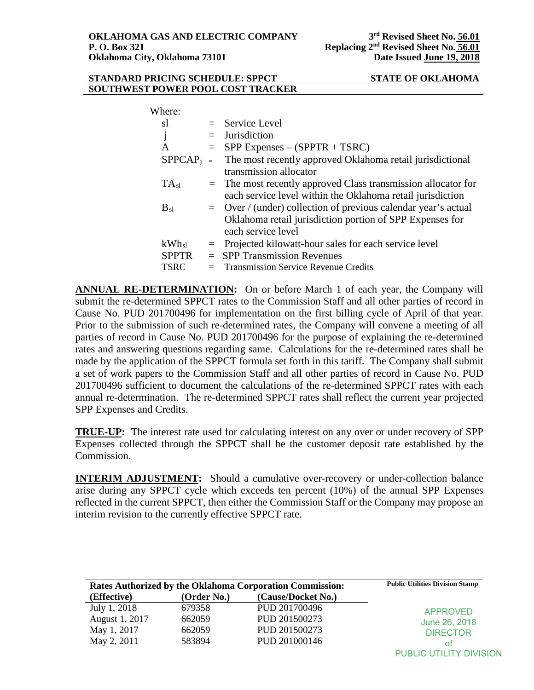### **STANDARD PRICING SCHEDULE: SPPCT STATE OF OKLAHOMA SOUTHWEST POWER POOL COST TRACKER**

| Where:       |     |                                                                                                                                                    |
|--------------|-----|----------------------------------------------------------------------------------------------------------------------------------------------------|
| sl           |     | $=$ Service Level                                                                                                                                  |
| j            | $=$ | <b>Jurisdiction</b>                                                                                                                                |
| A            |     | $=$ SPP Expenses – (SPPTR + TSRC)                                                                                                                  |
| $SPPCAP_i =$ |     | The most recently approved Oklahoma retail jurisdictional<br>transmission allocator                                                                |
| $TA_{sl}$    |     | $=$ The most recently approved Class transmission allocator for<br>each service level within the Oklahoma retail jurisdiction                      |
| $B_{sl}$     |     | $=$ Over / (under) collection of previous calendar year's actual<br>Oklahoma retail jurisdiction portion of SPP Expenses for<br>each service level |
| $kWh_{sl}$   |     | $=$ Projected kilowatt-hour sales for each service level                                                                                           |
| <b>SPPTR</b> |     | $=$ SPP Transmission Revenues                                                                                                                      |
| <b>TSRC</b>  |     | $=$ Transmission Service Revenue Credits                                                                                                           |

**ANNUAL RE-DETERMINATION:** On or before March 1 of each year, the Company will submit the re-determined SPPCT rates to the Commission Staff and all other parties of record in Cause No. PUD 201700496 for implementation on the first billing cycle of April of that year. Prior to the submission of such re-determined rates, the Company will convene a meeting of all parties of record in Cause No. PUD 201700496 for the purpose of explaining the re-determined rates and answering questions regarding same. Calculations for the re-determined rates shall be made by the application of the SPPCT formula set forth in this tariff. The Company shall submit a set of work papers to the Commission Staff and all other parties of record in Cause No. PUD 201700496 sufficient to document the calculations of the re-determined SPPCT rates with each annual re-determination. The re-determined SPPCT rates shall reflect the current year projected SPP Expenses and Credits.

**TRUE-UP:** The interest rate used for calculating interest on any over or under recovery of SPP Expenses collected through the SPPCT shall be the customer deposit rate established by the Commission.

**INTERIM ADJUSTMENT:** Should a cumulative over-recovery or under-collection balance arise during any SPPCT cycle which exceeds ten percent (10%) of the annual SPP Expenses reflected in the current SPPCT, then either the Commission Staff or the Company may propose an interim revision to the currently effective SPPCT rate.

|                | <b>Rates Authorized by the Oklahoma Corporation Commission:</b> | <b>Public Utilities Division Stamp</b> |                         |
|----------------|-----------------------------------------------------------------|----------------------------------------|-------------------------|
| (Effective)    | (Order No.)                                                     | (Cause/Docket No.)                     |                         |
| July 1, 2018   | 679358                                                          | PUD 201700496                          | <b>APPROVED</b>         |
| August 1, 2017 | 662059                                                          | PUD 201500273                          | June 26, 2018           |
| May 1, 2017    | 662059                                                          | PUD 201500273                          | <b>DIRECTOR</b>         |
| May 2, 2011    | 583894                                                          | PUD 201000146                          | οt                      |
|                |                                                                 |                                        | PUBLIC UTILITY DIVISION |